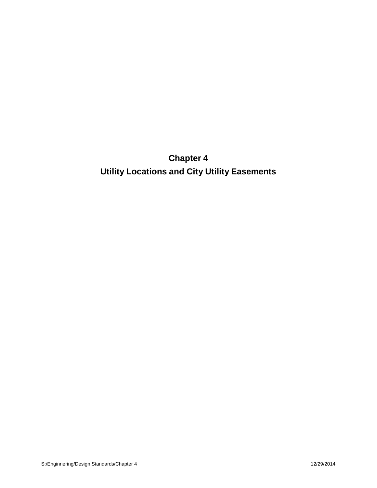**Chapter 4 Utility Locations and City Utility Easements**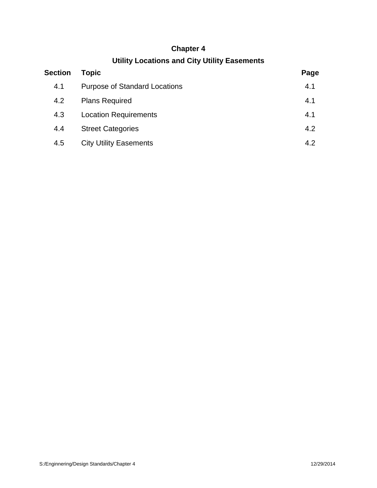## **Chapter 4**

# **Utility Locations and City Utility Easements**

| <b>Section</b> | <b>Topic</b>                         | Page |
|----------------|--------------------------------------|------|
| 4.1            | <b>Purpose of Standard Locations</b> | 4.1  |
| 4.2            | <b>Plans Required</b>                | 4.1  |
| 4.3            | <b>Location Requirements</b>         | 4.1  |
| 4.4            | <b>Street Categories</b>             | 4.2  |
| 4.5            | <b>City Utility Easements</b>        | 4.2  |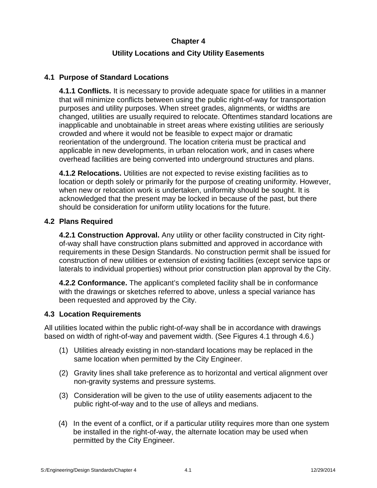### **Chapter 4**

### **Utility Locations and City Utility Easements**

### **4.1 Purpose of Standard Locations**

**4.1.1 Conflicts.** It is necessary to provide adequate space for utilities in a manner that will minimize conflicts between using the public right-of-way for transportation purposes and utility purposes. When street grades, alignments, or widths are changed, utilities are usually required to relocate. Oftentimes standard locations are inapplicable and unobtainable in street areas where existing utilities are seriously crowded and where it would not be feasible to expect major or dramatic reorientation of the underground. The location criteria must be practical and applicable in new developments, in urban relocation work, and in cases where overhead facilities are being converted into underground structures and plans.

**4.1.2 Relocations.** Utilities are not expected to revise existing facilities as to location or depth solely or primarily for the purpose of creating uniformity. However, when new or relocation work is undertaken, uniformity should be sought. It is acknowledged that the present may be locked in because of the past, but there should be consideration for uniform utility locations for the future.

### **4.2 Plans Required**

**4.2.1 Construction Approval.** Any utility or other facility constructed in City right of-way shall have construction plans submitted and approved in accordance with requirements in these Design Standards. No construction permit shall be issued for construction of new utilities or extension of existing facilities (except service taps or laterals to individual properties) without prior construction plan approval by the City.

**4.2.2 Conformance.** The applicant's completed facility shall be in conformance with the drawings or sketches referred to above, unless a special variance has been requested and approved by the City.

### **4.3 Location Requirements**

All utilities located within the public right-of-way shall be in accordance with drawings based on width of right-of-way and pavement width. (See Figures 4.1 through 4.6.)

- (1) Utilities already existing in non-standard locations may be replaced in the same location when permitted by the City Engineer.
- (2) Gravity lines shall take preference as to horizontal and vertical alignment over non-gravity systems and pressure systems.
- (3) Consideration will be given to the use of utility easements adjacent to the public right-of-way and to the use of alleys and medians.
- (4) In the event of a conflict, or if a particular utility requires more than one system be installed in the right-of-way, the alternate location may be used when permitted by the City Engineer.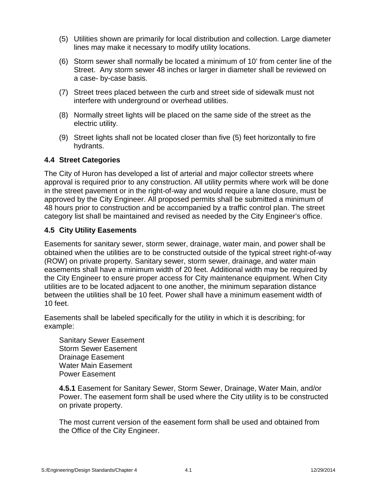- (5) Utilities shown are primarily for local distribution and collection. Large diameter lines may make it necessary to modify utility locations.
- (6) Storm sewer shall normally be located a minimum of 10' from center line of the Street. Any storm sewer 48 inches or larger in diameter shall be reviewed on a case- by-case basis.
- (7) Street trees placed between the curb and street side of sidewalk must not interfere with underground or overhead utilities.
- (8) Normally street lights will be placed on the same side of the street as the electric utility.
- (9) Street lights shall not be located closer than five (5) feet horizontally to fire hydrants.

### **4.4 Street Categories**

The City of Huron has developed a list of arterial and major collector streets where approval is required prior to any construction. All utility permits where work will be done in the street pavement or in the right-of-way and would require a lane closure, must be approved by the City Engineer. All proposed permits shall be submitted a minimum of 48 hours prior to construction and be accompanied by a traffic control plan. The street category list shall be maintained and revised as needed by the City Engineer's office.

### **4.5 City Utility Easements**

Easements for sanitary sewer, storm sewer, drainage, water main, and power shall be obtained when the utilities are to be constructed outside of the typical street right-of-way (ROW) on private property. Sanitary sewer, storm sewer, drainage, and water main easements shall have a minimum width of 20 feet. Additional width may be required by the City Engineer to ensure proper access for City maintenance equipment. When City utilities are to be located adjacent to one another, the minimum separation distance between the utilities shall be 10 feet. Power shall have a minimum easement width of  $10$  feet.

Easements shall be labeled specifically for the utility in which it is describing; for example:

Sanitary Sewer Easement Storm Sewer Easement Drainage Easement Water Main Easement Power Easement

**4.5.1** Easement for Sanitary Sewer, Storm Sewer, Drainage, Water Main, and/or Power. The easement form shall be used where the City utility is to be constructed on private property.

The most current version of the easement form shall be used and obtained from the Office of the City Engineer.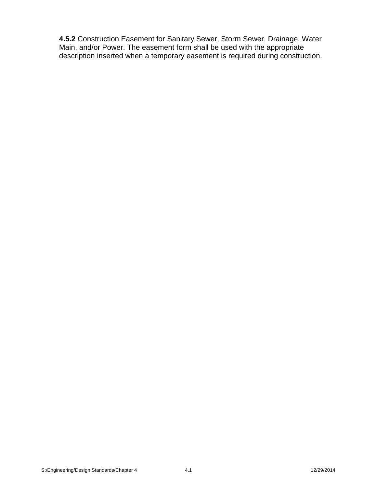**4.5.2** Construction Easement for Sanitary Sewer, Storm Sewer, Drainage, Water Main, and/or Power. The easement form shall be used with the appropriate description inserted when a temporary easement is required during construction.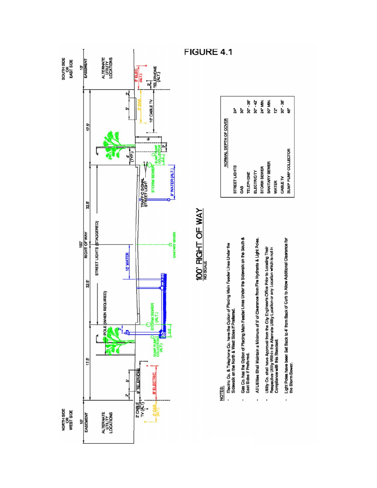

# 100' RIGHT OF WAY

### NOTES: l,

- Electric Co. & Telephone Co. have the Option of Placing Main Feeder Lines Under the<br>Sidewalk on the North & West Sides if Preferred.
- Gas Co. has the Option of Placing Main Feeder Lines Under the Sidewalk on the South &<br>East Sides if Preferred. ä
- All Utilities Shall Maintain a Minimum of 5' of Clearance from Fire Hydrants & Light Poles. ï
- Utility Co. shall have Approval from the City Engineer's Office Prior to Locating Their<br>Respective Utility Within the Alternate Utility Location or any Location which is not in<br>Compilance with this Standard.  $\blacksquare$
- Light Poles have been Set Back to 4' from Back of Curb to Allow Additional Clearance for<br>the Storm Sewer. ¥

| NORMAL DEPTH OF COVER |           |
|-----------------------|-----------|
| <b>STREET LIGHTS</b>  | 24°       |
| GAS                   | క్లి      |
| TELEPHONE             | $30 - 38$ |
| ELECTRICITY           | $30 - 42$ |
| <b>STORM SEWER</b>    | 24" MIN.  |
| SANITARY SEWER        | 60° MIN.  |
| WATER                 | z         |
| CABLE <sub>N</sub>    | $30 - 38$ |
| SUMP PUMP COLLECTOR   | ទ្        |

FIGURE 4.1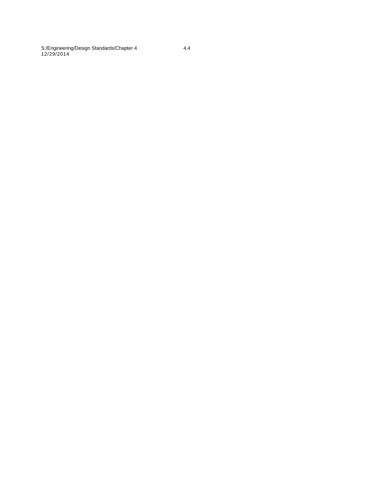S:/Engineering/Design Standards/Chapter 4  $\qquad \qquad 4.4$ 12/29/2014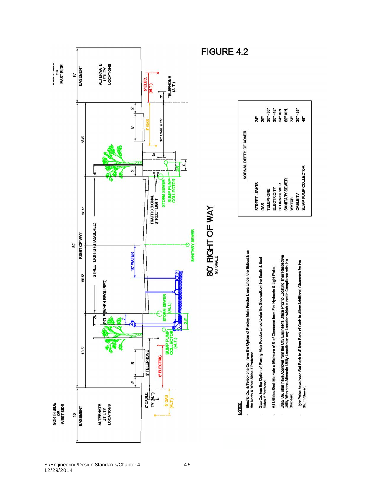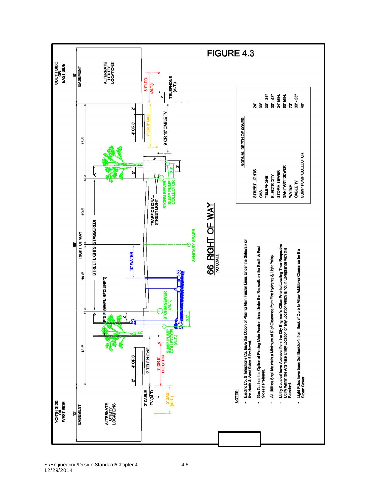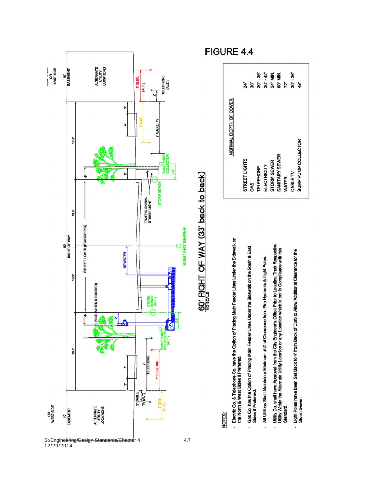

60' RIGHT OF WAY (33' back to back)

NOTES:

- Electric Co. & Telephone Co. have the Option of Placing Main Feeder Lines Under the Sidewalk on<br>the North & West Sides if Preferred.
- Gas Co. has the Option of Placing Main Feeder Lines Under the Sidewalk on the South & East<br>Sides if Preferred.
- All Utilities Shall Maintain a Minimum of 5' of Clearance from Fire Hydrants & Light Poles.
- Utility Co. shall have Approval from the City Engineer's Office Prior to Locating Their Respective<br>Utility Within the Alternate Utility Location or any Location which is not in Compilance with this<br>Standard.
- Light Poles have been Set Back to 4' from Back of Curb to Allow Additional Clearance for the<br>Storm Sewer.

| 72<br>ż.<br>ទ្ធ<br>NORMAL DEPTH OF COVER<br>SANITARY SEWER<br><b>STREET LIGHTS</b><br><b>STORM SEWER</b><br>ELECTRICITY<br>TELEPHONE<br>CABLE TV<br>WATER<br>GAS | $30" - 36"$<br>$30" - 42"$<br>$30" - 36"$<br>60" MIN.<br>24" MIN. |
|------------------------------------------------------------------------------------------------------------------------------------------------------------------|-------------------------------------------------------------------|
| 48"<br>SUMP PUMP COLLECTOR                                                                                                                                       |                                                                   |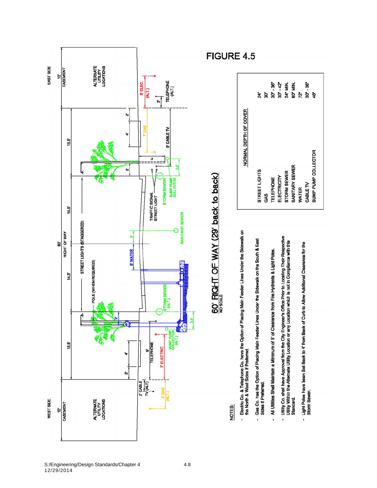